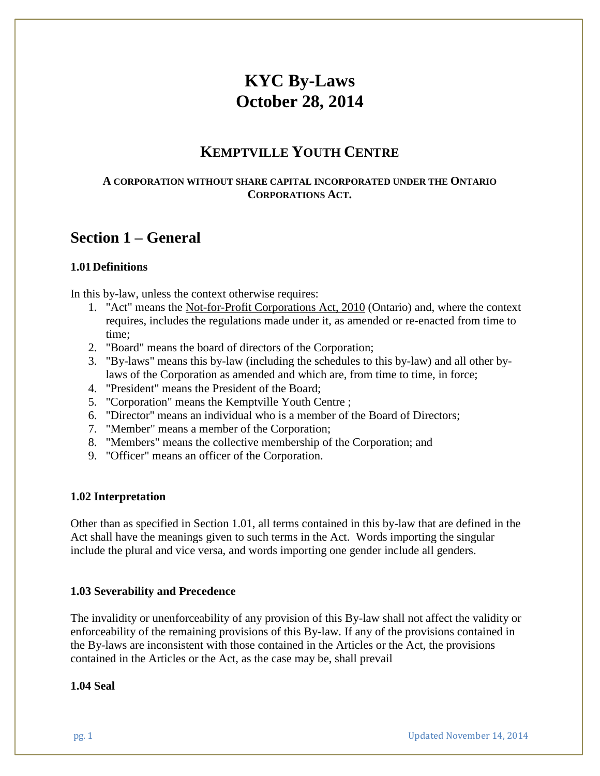# **KYC By-Laws October 28, 2014**

## **KEMPTVILLE YOUTH CENTRE**

#### **A CORPORATION WITHOUT SHARE CAPITAL INCORPORATED UNDER THE ONTARIO CORPORATIONS ACT.**

# **Section 1 – General**

#### **1.01Definitions**

In this by-law, unless the context otherwise requires:

- 1. "Act" means the Not-for-Profit Corporations Act, 2010 (Ontario) and, where the context requires, includes the regulations made under it, as amended or re-enacted from time to time;
- 2. "Board" means the board of directors of the Corporation;
- 3. "By-laws" means this by-law (including the schedules to this by-law) and all other bylaws of the Corporation as amended and which are, from time to time, in force;
- 4. "President" means the President of the Board;
- 5. "Corporation" means the Kemptville Youth Centre ;
- 6. "Director" means an individual who is a member of the Board of Directors;
- 7. "Member" means a member of the Corporation;
- 8. "Members" means the collective membership of the Corporation; and
- 9. "Officer" means an officer of the Corporation.

#### **1.02 Interpretation**

Other than as specified in Section 1.01, all terms contained in this by-law that are defined in the Act shall have the meanings given to such terms in the Act. Words importing the singular include the plural and vice versa, and words importing one gender include all genders.

#### **1.03 Severability and Precedence**

The invalidity or unenforceability of any provision of this By-law shall not affect the validity or enforceability of the remaining provisions of this By-law. If any of the provisions contained in the By-laws are inconsistent with those contained in the Articles or the Act, the provisions contained in the Articles or the Act, as the case may be, shall prevail

#### **1.04 Seal**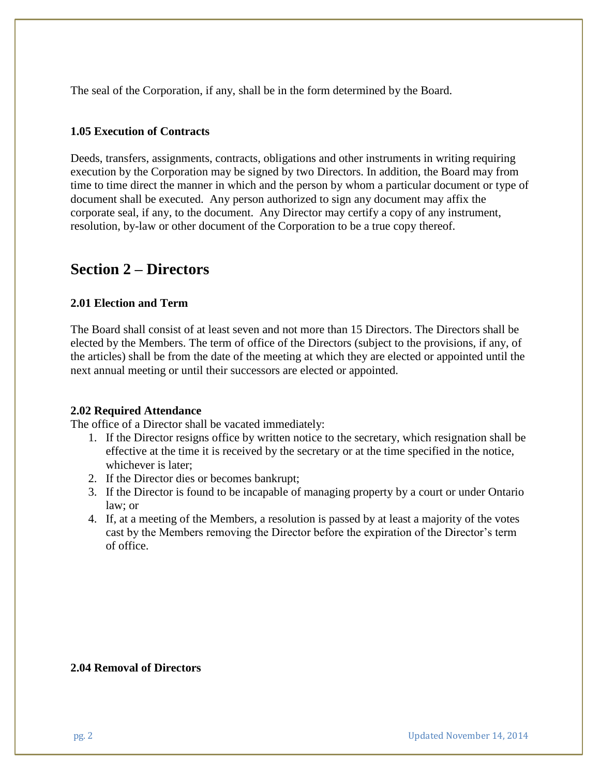The seal of the Corporation, if any, shall be in the form determined by the Board.

#### **1.05 Execution of Contracts**

Deeds, transfers, assignments, contracts, obligations and other instruments in writing requiring execution by the Corporation may be signed by two Directors. In addition, the Board may from time to time direct the manner in which and the person by whom a particular document or type of document shall be executed. Any person authorized to sign any document may affix the corporate seal, if any, to the document. Any Director may certify a copy of any instrument, resolution, by-law or other document of the Corporation to be a true copy thereof.

### **Section 2 – Directors**

#### **2.01 Election and Term**

The Board shall consist of at least seven and not more than 15 Directors. The Directors shall be elected by the Members. The term of office of the Directors (subject to the provisions, if any, of the articles) shall be from the date of the meeting at which they are elected or appointed until the next annual meeting or until their successors are elected or appointed.

#### **2.02 Required Attendance**

The office of a Director shall be vacated immediately:

- 1. If the Director resigns office by written notice to the secretary, which resignation shall be effective at the time it is received by the secretary or at the time specified in the notice, whichever is later;
- 2. If the Director dies or becomes bankrupt;
- 3. If the Director is found to be incapable of managing property by a court or under Ontario law; or
- 4. If, at a meeting of the Members, a resolution is passed by at least a majority of the votes cast by the Members removing the Director before the expiration of the Director's term of office.

#### **2.04 Removal of Directors**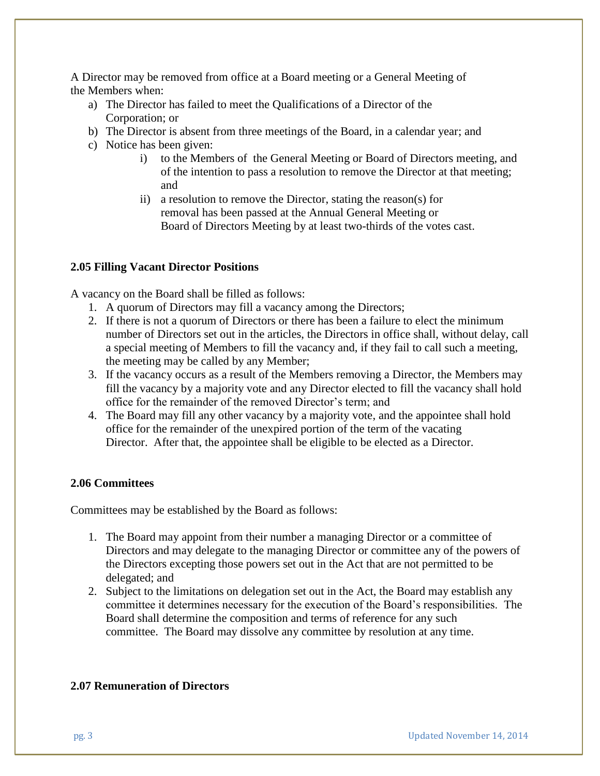A Director may be removed from office at a Board meeting or a General Meeting of the Members when:

- a) The Director has failed to meet the Qualifications of a Director of the Corporation; or
- b) The Director is absent from three meetings of the Board, in a calendar year; and
- c) Notice has been given:
	- i) to the Members of the General Meeting or Board of Directors meeting, and of the intention to pass a resolution to remove the Director at that meeting; and
	- ii) a resolution to remove the Director, stating the reason(s) for removal has been passed at the Annual General Meeting or Board of Directors Meeting by at least two-thirds of the votes cast.

#### **2.05 Filling Vacant Director Positions**

A vacancy on the Board shall be filled as follows:

- 1. A quorum of Directors may fill a vacancy among the Directors;
- 2. If there is not a quorum of Directors or there has been a failure to elect the minimum number of Directors set out in the articles, the Directors in office shall, without delay, call a special meeting of Members to fill the vacancy and, if they fail to call such a meeting, the meeting may be called by any Member;
- 3. If the vacancy occurs as a result of the Members removing a Director, the Members may fill the vacancy by a majority vote and any Director elected to fill the vacancy shall hold office for the remainder of the removed Director's term; and
- 4. The Board may fill any other vacancy by a majority vote, and the appointee shall hold office for the remainder of the unexpired portion of the term of the vacating Director. After that, the appointee shall be eligible to be elected as a Director.

#### **2.06 Committees**

Committees may be established by the Board as follows:

- 1. The Board may appoint from their number a managing Director or a committee of Directors and may delegate to the managing Director or committee any of the powers of the Directors excepting those powers set out in the Act that are not permitted to be delegated; and
- 2. Subject to the limitations on delegation set out in the Act, the Board may establish any committee it determines necessary for the execution of the Board's responsibilities. The Board shall determine the composition and terms of reference for any such committee. The Board may dissolve any committee by resolution at any time.

#### **2.07 Remuneration of Directors**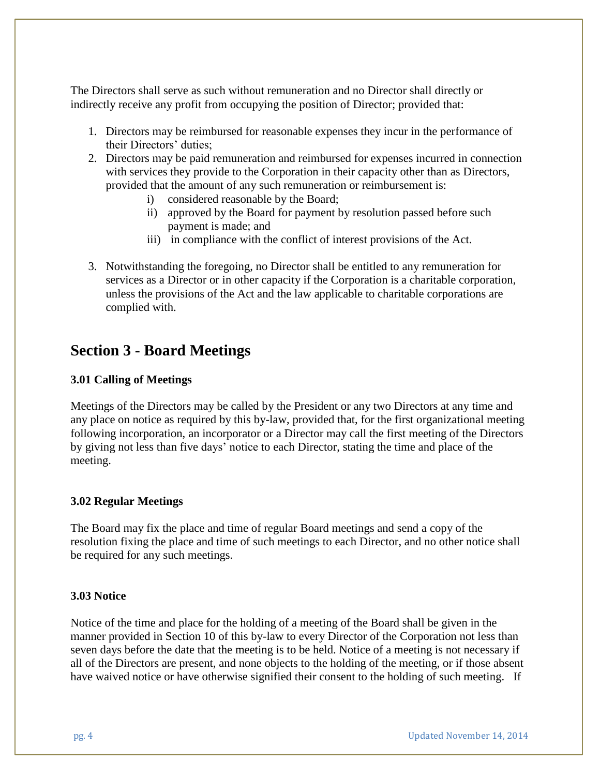The Directors shall serve as such without remuneration and no Director shall directly or indirectly receive any profit from occupying the position of Director; provided that:

- 1. Directors may be reimbursed for reasonable expenses they incur in the performance of their Directors' duties;
- 2. Directors may be paid remuneration and reimbursed for expenses incurred in connection with services they provide to the Corporation in their capacity other than as Directors, provided that the amount of any such remuneration or reimbursement is:
	- i) considered reasonable by the Board;
	- ii) approved by the Board for payment by resolution passed before such payment is made; and
	- iii) in compliance with the conflict of interest provisions of the Act.
- 3. Notwithstanding the foregoing, no Director shall be entitled to any remuneration for services as a Director or in other capacity if the Corporation is a charitable corporation, unless the provisions of the Act and the law applicable to charitable corporations are complied with.

# **Section 3 - Board Meetings**

#### **3.01 Calling of Meetings**

Meetings of the Directors may be called by the President or any two Directors at any time and any place on notice as required by this by-law, provided that, for the first organizational meeting following incorporation, an incorporator or a Director may call the first meeting of the Directors by giving not less than five days' notice to each Director, stating the time and place of the meeting.

#### **3.02 Regular Meetings**

The Board may fix the place and time of regular Board meetings and send a copy of the resolution fixing the place and time of such meetings to each Director, and no other notice shall be required for any such meetings.

#### **3.03 Notice**

Notice of the time and place for the holding of a meeting of the Board shall be given in the manner provided in Section 10 of this by-law to every Director of the Corporation not less than seven days before the date that the meeting is to be held. Notice of a meeting is not necessary if all of the Directors are present, and none objects to the holding of the meeting, or if those absent have waived notice or have otherwise signified their consent to the holding of such meeting. If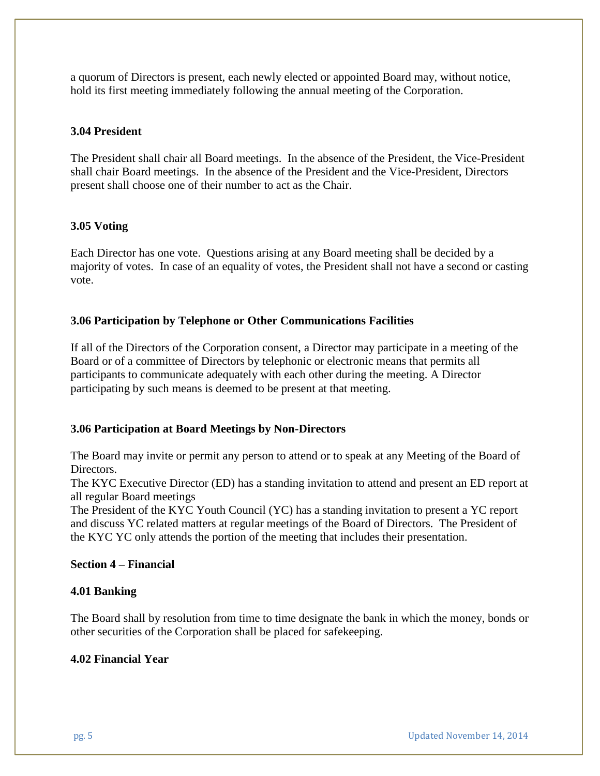a quorum of Directors is present, each newly elected or appointed Board may, without notice, hold its first meeting immediately following the annual meeting of the Corporation.

#### **3.04 President**

The President shall chair all Board meetings. In the absence of the President, the Vice-President shall chair Board meetings. In the absence of the President and the Vice-President, Directors present shall choose one of their number to act as the Chair.

#### **3.05 Voting**

Each Director has one vote. Questions arising at any Board meeting shall be decided by a majority of votes. In case of an equality of votes, the President shall not have a second or casting vote.

#### **3.06 Participation by Telephone or Other Communications Facilities**

If all of the Directors of the Corporation consent, a Director may participate in a meeting of the Board or of a committee of Directors by telephonic or electronic means that permits all participants to communicate adequately with each other during the meeting. A Director participating by such means is deemed to be present at that meeting.

#### **3.06 Participation at Board Meetings by Non-Directors**

The Board may invite or permit any person to attend or to speak at any Meeting of the Board of Directors.

The KYC Executive Director (ED) has a standing invitation to attend and present an ED report at all regular Board meetings

The President of the KYC Youth Council (YC) has a standing invitation to present a YC report and discuss YC related matters at regular meetings of the Board of Directors. The President of the KYC YC only attends the portion of the meeting that includes their presentation.

#### **Section 4 – Financial**

#### **4.01 Banking**

The Board shall by resolution from time to time designate the bank in which the money, bonds or other securities of the Corporation shall be placed for safekeeping.

#### **4.02 Financial Year**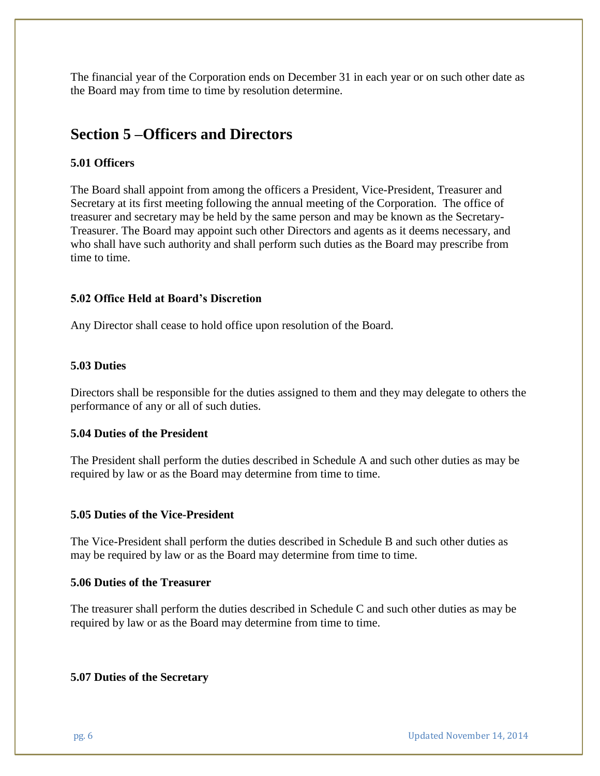The financial year of the Corporation ends on December 31 in each year or on such other date as the Board may from time to time by resolution determine.

# **Section 5 –Officers and Directors**

#### **5.01 Officers**

The Board shall appoint from among the officers a President, Vice-President, Treasurer and Secretary at its first meeting following the annual meeting of the Corporation. The office of treasurer and secretary may be held by the same person and may be known as the Secretary-Treasurer. The Board may appoint such other Directors and agents as it deems necessary, and who shall have such authority and shall perform such duties as the Board may prescribe from time to time.

#### **5.02 Office Held at Board's Discretion**

Any Director shall cease to hold office upon resolution of the Board.

#### **5.03 Duties**

Directors shall be responsible for the duties assigned to them and they may delegate to others the performance of any or all of such duties.

#### **5.04 Duties of the President**

The President shall perform the duties described in Schedule A and such other duties as may be required by law or as the Board may determine from time to time.

#### **5.05 Duties of the Vice-President**

The Vice-President shall perform the duties described in Schedule B and such other duties as may be required by law or as the Board may determine from time to time.

#### **5.06 Duties of the Treasurer**

The treasurer shall perform the duties described in Schedule C and such other duties as may be required by law or as the Board may determine from time to time.

#### **5.07 Duties of the Secretary**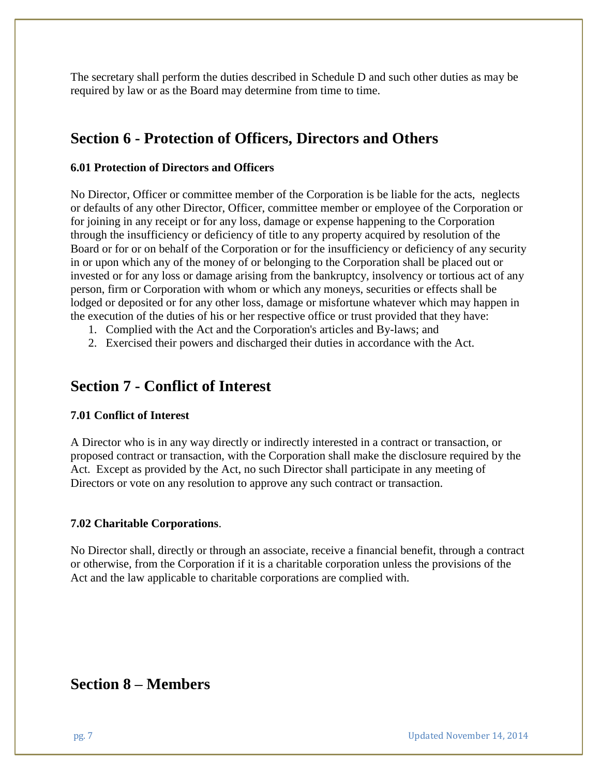The secretary shall perform the duties described in Schedule D and such other duties as may be required by law or as the Board may determine from time to time.

# **Section 6 - Protection of Officers, Directors and Others**

#### **6.01 Protection of Directors and Officers**

No Director, Officer or committee member of the Corporation is be liable for the acts, neglects or defaults of any other Director, Officer, committee member or employee of the Corporation or for joining in any receipt or for any loss, damage or expense happening to the Corporation through the insufficiency or deficiency of title to any property acquired by resolution of the Board or for or on behalf of the Corporation or for the insufficiency or deficiency of any security in or upon which any of the money of or belonging to the Corporation shall be placed out or invested or for any loss or damage arising from the bankruptcy, insolvency or tortious act of any person, firm or Corporation with whom or which any moneys, securities or effects shall be lodged or deposited or for any other loss, damage or misfortune whatever which may happen in the execution of the duties of his or her respective office or trust provided that they have:

- 1. Complied with the Act and the Corporation's articles and By-laws; and
- 2. Exercised their powers and discharged their duties in accordance with the Act.

## **Section 7 - Conflict of Interest**

#### **7.01 Conflict of Interest**

A Director who is in any way directly or indirectly interested in a contract or transaction, or proposed contract or transaction, with the Corporation shall make the disclosure required by the Act. Except as provided by the Act, no such Director shall participate in any meeting of Directors or vote on any resolution to approve any such contract or transaction.

#### **7.02 Charitable Corporations**.

No Director shall, directly or through an associate, receive a financial benefit, through a contract or otherwise, from the Corporation if it is a charitable corporation unless the provisions of the Act and the law applicable to charitable corporations are complied with.

### **Section 8 – Members**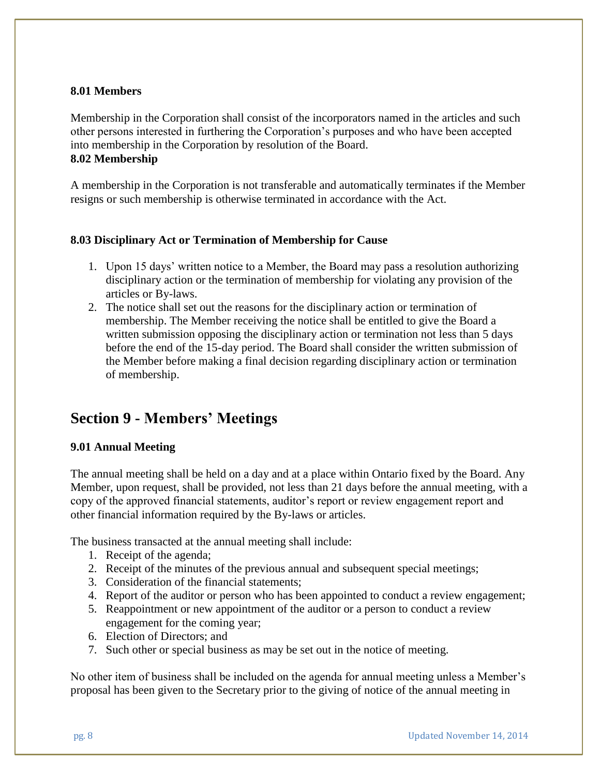#### **8.01 Members**

Membership in the Corporation shall consist of the incorporators named in the articles and such other persons interested in furthering the Corporation's purposes and who have been accepted into membership in the Corporation by resolution of the Board. **8.02 Membership**

A membership in the Corporation is not transferable and automatically terminates if the Member resigns or such membership is otherwise terminated in accordance with the Act.

#### **8.03 Disciplinary Act or Termination of Membership for Cause**

- 1. Upon 15 days' written notice to a Member, the Board may pass a resolution authorizing disciplinary action or the termination of membership for violating any provision of the articles or By-laws.
- 2. The notice shall set out the reasons for the disciplinary action or termination of membership. The Member receiving the notice shall be entitled to give the Board a written submission opposing the disciplinary action or termination not less than 5 days before the end of the 15-day period. The Board shall consider the written submission of the Member before making a final decision regarding disciplinary action or termination of membership.

# **Section 9 - Members' Meetings**

#### **9.01 Annual Meeting**

The annual meeting shall be held on a day and at a place within Ontario fixed by the Board. Any Member, upon request, shall be provided, not less than 21 days before the annual meeting, with a copy of the approved financial statements, auditor's report or review engagement report and other financial information required by the By-laws or articles.

The business transacted at the annual meeting shall include:

- 1. Receipt of the agenda;
- 2. Receipt of the minutes of the previous annual and subsequent special meetings;
- 3. Consideration of the financial statements;
- 4. Report of the auditor or person who has been appointed to conduct a review engagement;
- 5. Reappointment or new appointment of the auditor or a person to conduct a review engagement for the coming year;
- 6. Election of Directors; and
- 7. Such other or special business as may be set out in the notice of meeting.

No other item of business shall be included on the agenda for annual meeting unless a Member's proposal has been given to the Secretary prior to the giving of notice of the annual meeting in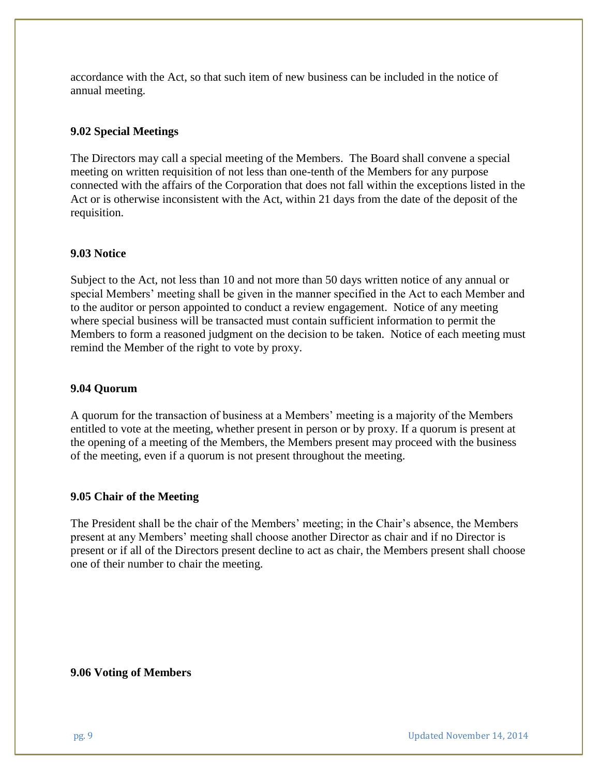accordance with the Act, so that such item of new business can be included in the notice of annual meeting.

#### **9.02 Special Meetings**

The Directors may call a special meeting of the Members. The Board shall convene a special meeting on written requisition of not less than one-tenth of the Members for any purpose connected with the affairs of the Corporation that does not fall within the exceptions listed in the Act or is otherwise inconsistent with the Act, within 21 days from the date of the deposit of the requisition.

#### **9.03 Notice**

Subject to the Act, not less than 10 and not more than 50 days written notice of any annual or special Members' meeting shall be given in the manner specified in the Act to each Member and to the auditor or person appointed to conduct a review engagement. Notice of any meeting where special business will be transacted must contain sufficient information to permit the Members to form a reasoned judgment on the decision to be taken. Notice of each meeting must remind the Member of the right to vote by proxy.

#### **9.04 Quorum**

A quorum for the transaction of business at a Members' meeting is a majority of the Members entitled to vote at the meeting, whether present in person or by proxy. If a quorum is present at the opening of a meeting of the Members, the Members present may proceed with the business of the meeting, even if a quorum is not present throughout the meeting.

#### **9.05 Chair of the Meeting**

The President shall be the chair of the Members' meeting; in the Chair's absence, the Members present at any Members' meeting shall choose another Director as chair and if no Director is present or if all of the Directors present decline to act as chair, the Members present shall choose one of their number to chair the meeting.

#### **9.06 Voting of Members**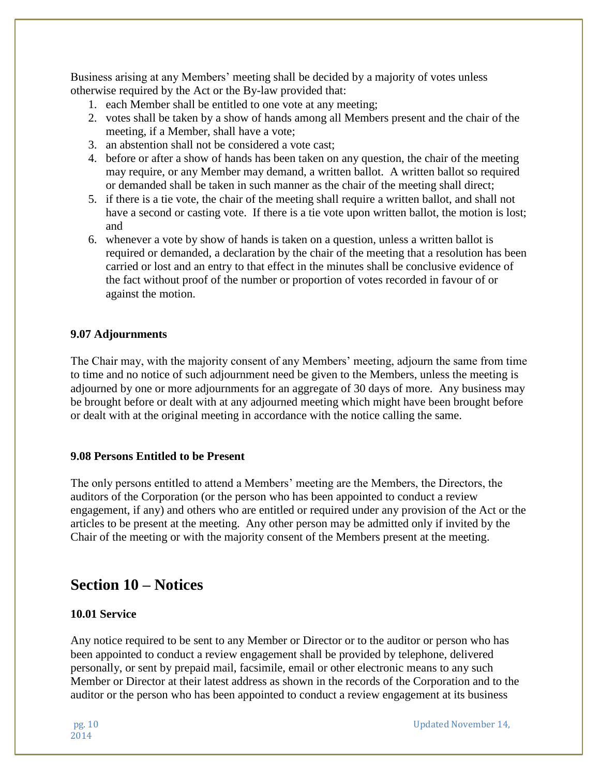Business arising at any Members' meeting shall be decided by a majority of votes unless otherwise required by the Act or the By-law provided that:

- 1. each Member shall be entitled to one vote at any meeting;
- 2. votes shall be taken by a show of hands among all Members present and the chair of the meeting, if a Member, shall have a vote;
- 3. an abstention shall not be considered a vote cast;
- 4. before or after a show of hands has been taken on any question, the chair of the meeting may require, or any Member may demand, a written ballot. A written ballot so required or demanded shall be taken in such manner as the chair of the meeting shall direct;
- 5. if there is a tie vote, the chair of the meeting shall require a written ballot, and shall not have a second or casting vote. If there is a tie vote upon written ballot, the motion is lost; and
- 6. whenever a vote by show of hands is taken on a question, unless a written ballot is required or demanded, a declaration by the chair of the meeting that a resolution has been carried or lost and an entry to that effect in the minutes shall be conclusive evidence of the fact without proof of the number or proportion of votes recorded in favour of or against the motion.

#### **9.07 Adjournments**

The Chair may, with the majority consent of any Members' meeting, adjourn the same from time to time and no notice of such adjournment need be given to the Members, unless the meeting is adjourned by one or more adjournments for an aggregate of 30 days of more. Any business may be brought before or dealt with at any adjourned meeting which might have been brought before or dealt with at the original meeting in accordance with the notice calling the same.

#### **9.08 Persons Entitled to be Present**

The only persons entitled to attend a Members' meeting are the Members, the Directors, the auditors of the Corporation (or the person who has been appointed to conduct a review engagement, if any) and others who are entitled or required under any provision of the Act or the articles to be present at the meeting. Any other person may be admitted only if invited by the Chair of the meeting or with the majority consent of the Members present at the meeting.

### **Section 10 – Notices**

#### **10.01 Service**

Any notice required to be sent to any Member or Director or to the auditor or person who has been appointed to conduct a review engagement shall be provided by telephone, delivered personally, or sent by prepaid mail, facsimile, email or other electronic means to any such Member or Director at their latest address as shown in the records of the Corporation and to the auditor or the person who has been appointed to conduct a review engagement at its business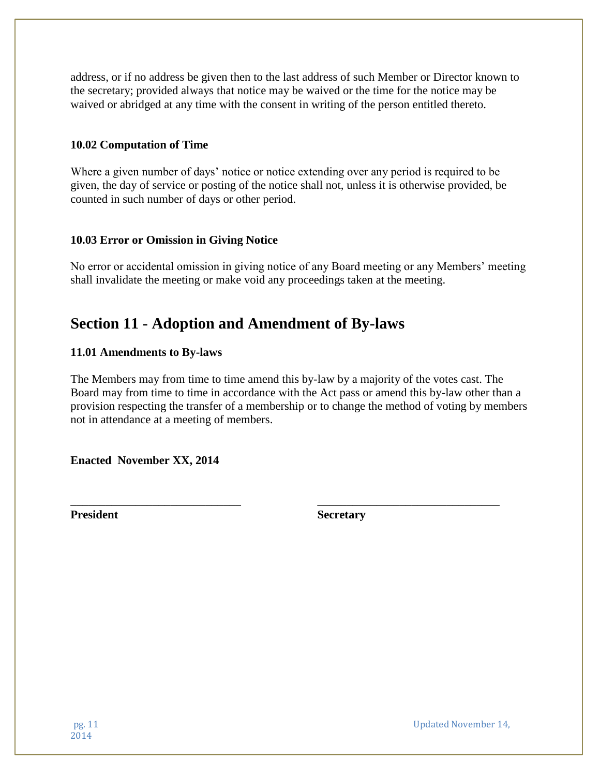address, or if no address be given then to the last address of such Member or Director known to the secretary; provided always that notice may be waived or the time for the notice may be waived or abridged at any time with the consent in writing of the person entitled thereto.

#### **10.02 Computation of Time**

Where a given number of days' notice or notice extending over any period is required to be given, the day of service or posting of the notice shall not, unless it is otherwise provided, be counted in such number of days or other period.

#### **10.03 Error or Omission in Giving Notice**

No error or accidental omission in giving notice of any Board meeting or any Members' meeting shall invalidate the meeting or make void any proceedings taken at the meeting.

# **Section 11 - Adoption and Amendment of By-laws**

#### **11.01 Amendments to By-laws**

The Members may from time to time amend this by-law by a majority of the votes cast. The Board may from time to time in accordance with the Act pass or amend this by-law other than a provision respecting the transfer of a membership or to change the method of voting by members not in attendance at a meeting of members.

\_\_\_\_\_\_\_\_\_\_\_\_\_\_\_\_\_\_\_\_\_\_\_\_\_\_\_\_\_ \_\_\_\_\_\_\_\_\_\_\_\_\_\_\_\_\_\_\_\_\_\_\_\_\_\_\_\_\_\_\_

**Enacted November XX, 2014**

**President Secretary** 

pg. 11 Updated November 14,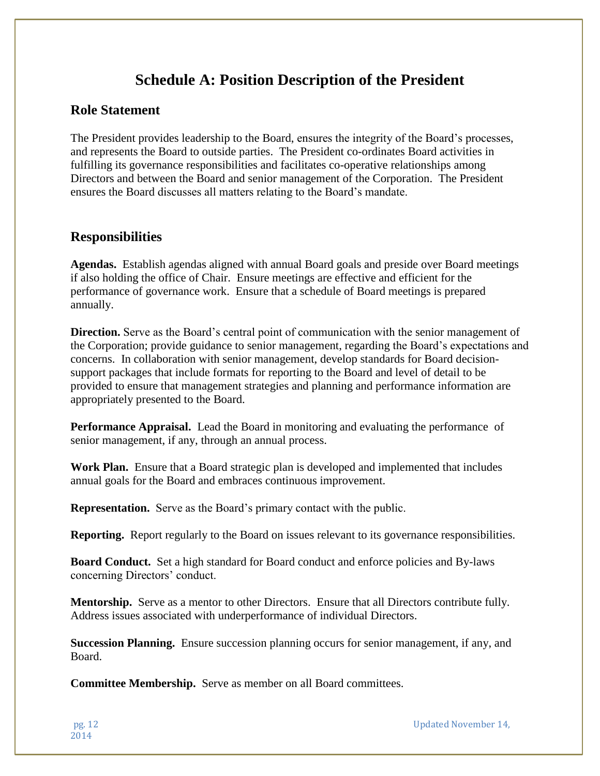# **Schedule A: Position Description of the President**

### **Role Statement**

The President provides leadership to the Board, ensures the integrity of the Board's processes, and represents the Board to outside parties. The President co-ordinates Board activities in fulfilling its governance responsibilities and facilitates co-operative relationships among Directors and between the Board and senior management of the Corporation. The President ensures the Board discusses all matters relating to the Board's mandate.

### **Responsibilities**

**Agendas.** Establish agendas aligned with annual Board goals and preside over Board meetings if also holding the office of Chair. Ensure meetings are effective and efficient for the performance of governance work. Ensure that a schedule of Board meetings is prepared annually.

**Direction.** Serve as the Board's central point of communication with the senior management of the Corporation; provide guidance to senior management, regarding the Board's expectations and concerns. In collaboration with senior management, develop standards for Board decisionsupport packages that include formats for reporting to the Board and level of detail to be provided to ensure that management strategies and planning and performance information are appropriately presented to the Board.

**Performance Appraisal.** Lead the Board in monitoring and evaluating the performance of senior management, if any, through an annual process.

**Work Plan.** Ensure that a Board strategic plan is developed and implemented that includes annual goals for the Board and embraces continuous improvement.

**Representation.** Serve as the Board's primary contact with the public.

**Reporting.** Report regularly to the Board on issues relevant to its governance responsibilities.

**Board Conduct.** Set a high standard for Board conduct and enforce policies and By-laws concerning Directors' conduct.

**Mentorship.** Serve as a mentor to other Directors. Ensure that all Directors contribute fully. Address issues associated with underperformance of individual Directors.

**Succession Planning.** Ensure succession planning occurs for senior management, if any, and Board.

**Committee Membership.** Serve as member on all Board committees.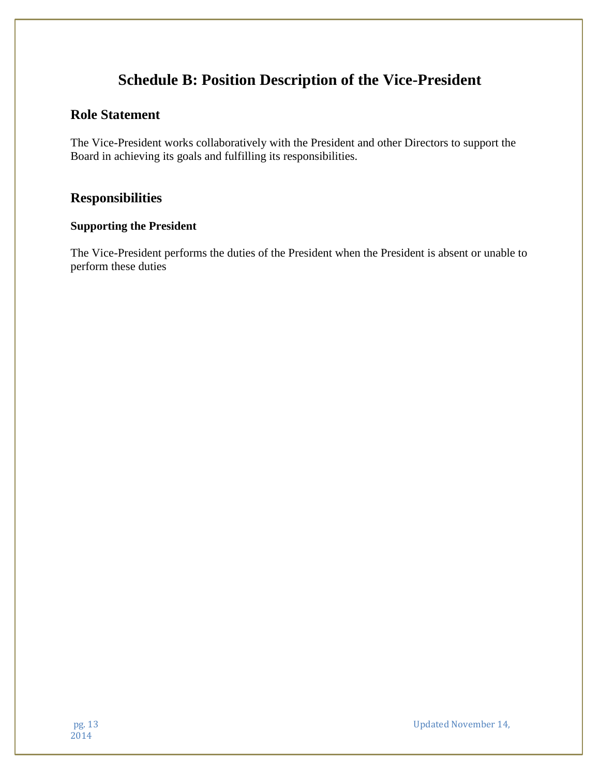# **Schedule B: Position Description of the Vice-President**

### **Role Statement**

The Vice-President works collaboratively with the President and other Directors to support the Board in achieving its goals and fulfilling its responsibilities.

### **Responsibilities**

#### **Supporting the President**

The Vice-President performs the duties of the President when the President is absent or unable to perform these duties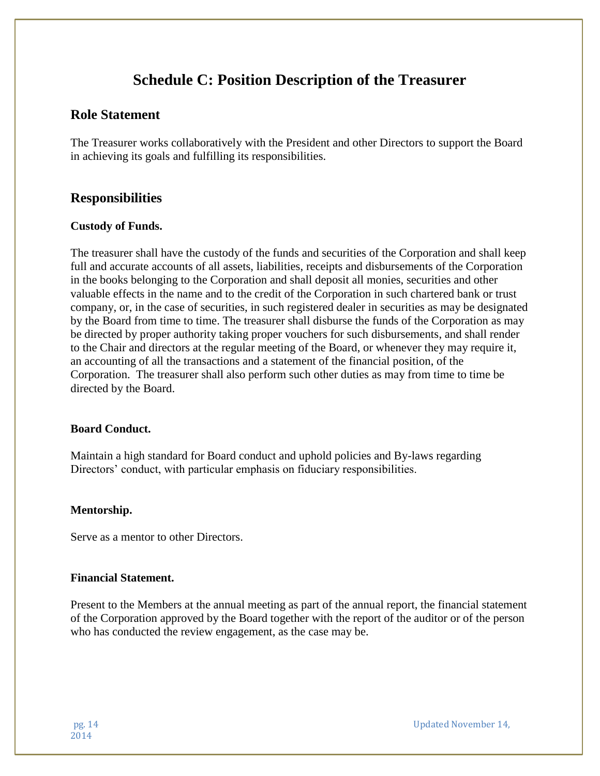# **Schedule C: Position Description of the Treasurer**

### **Role Statement**

The Treasurer works collaboratively with the President and other Directors to support the Board in achieving its goals and fulfilling its responsibilities.

### **Responsibilities**

#### **Custody of Funds.**

The treasurer shall have the custody of the funds and securities of the Corporation and shall keep full and accurate accounts of all assets, liabilities, receipts and disbursements of the Corporation in the books belonging to the Corporation and shall deposit all monies, securities and other valuable effects in the name and to the credit of the Corporation in such chartered bank or trust company, or, in the case of securities, in such registered dealer in securities as may be designated by the Board from time to time. The treasurer shall disburse the funds of the Corporation as may be directed by proper authority taking proper vouchers for such disbursements, and shall render to the Chair and directors at the regular meeting of the Board, or whenever they may require it, an accounting of all the transactions and a statement of the financial position, of the Corporation. The treasurer shall also perform such other duties as may from time to time be directed by the Board.

#### **Board Conduct.**

Maintain a high standard for Board conduct and uphold policies and By-laws regarding Directors' conduct, with particular emphasis on fiduciary responsibilities.

#### **Mentorship.**

Serve as a mentor to other Directors.

#### **Financial Statement.**

Present to the Members at the annual meeting as part of the annual report, the financial statement of the Corporation approved by the Board together with the report of the auditor or of the person who has conducted the review engagement, as the case may be.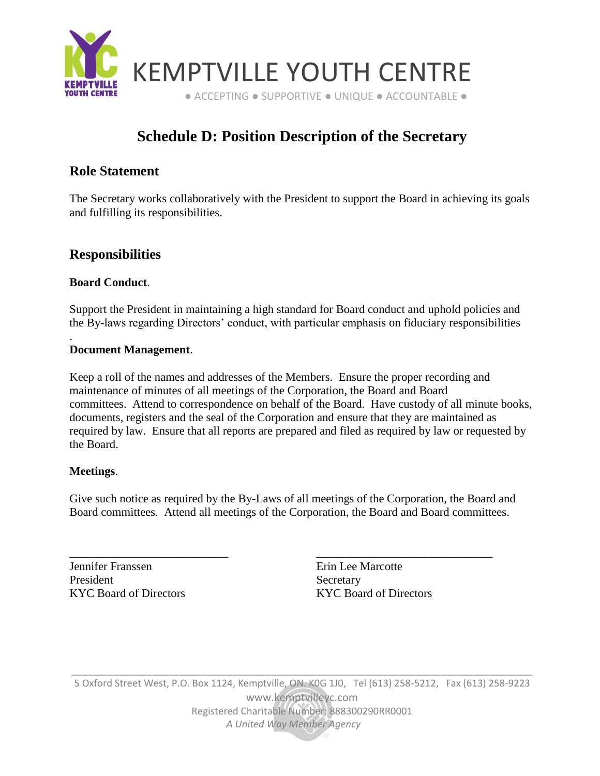

# **Schedule D: Position Description of the Secretary**

### **Role Statement**

The Secretary works collaboratively with the President to support the Board in achieving its goals and fulfilling its responsibilities.

### **Responsibilities**

#### **Board Conduct**.

.

Support the President in maintaining a high standard for Board conduct and uphold policies and the By-laws regarding Directors' conduct, with particular emphasis on fiduciary responsibilities

#### **Document Management**.

Keep a roll of the names and addresses of the Members. Ensure the proper recording and maintenance of minutes of all meetings of the Corporation, the Board and Board committees. Attend to correspondence on behalf of the Board. Have custody of all minute books, documents, registers and the seal of the Corporation and ensure that they are maintained as required by law. Ensure that all reports are prepared and filed as required by law or requested by the Board.

#### **Meetings**.

Give such notice as required by the By-Laws of all meetings of the Corporation, the Board and Board committees. Attend all meetings of the Corporation, the Board and Board committees.

\_\_\_\_\_\_\_\_\_\_\_\_\_\_\_\_\_\_\_\_\_\_\_\_\_\_\_ \_\_\_\_\_\_\_\_\_\_\_\_\_\_\_\_\_\_\_\_\_\_\_\_\_\_\_\_\_\_

Jennifer Franssen Erin Lee Marcotte President Secretary

KYC Board of Directors KYC Board of Directors

5 Oxford Street West, P.O. Box 1124, Kemptville, ON. K0G 1J0, Tel (613) 258-5212, Fax (613) 258-9223 [www.kemptvilleyc.com](http://www.kemptvilleyc.com/) Registered Charitable Number: 888300290RR0001  *A United Way Member Agency*

\_\_\_\_\_\_\_\_\_\_\_\_\_\_\_\_\_\_\_\_\_\_\_\_\_\_\_\_\_\_\_\_\_\_\_\_\_\_\_\_\_\_\_\_\_\_\_\_\_\_\_\_\_\_\_\_\_\_\_\_\_\_\_\_\_\_\_\_\_\_\_\_\_\_\_\_\_\_\_\_\_\_\_\_\_\_